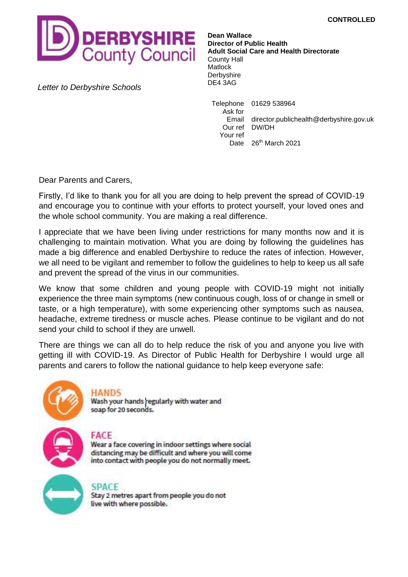

DE4 3AG *Letter to Derbyshire Schools*

**Dean Wallace Director of Public Health Adult Social Care and Health Directorate** County Hall Matlock **Derbyshire** 

Telephone 01629 538964 Ask for Email director.publichealth@derbyshire.gov.uk Our ref DW/DH Your ref Date 26<sup>th</sup> March 2021

Dear Parents and Carers,

Firstly, I'd like to thank you for all you are doing to help prevent the spread of COVID-19 and encourage you to continue with your efforts to protect yourself, your loved ones and the whole school community. You are making a real difference.

I appreciate that we have been living under restrictions for many months now and it is challenging to maintain motivation. What you are doing by following the guidelines has made a big difference and enabled Derbyshire to reduce the rates of infection. However, we all need to be vigilant and remember to follow the guidelines to help to keep us all safe and prevent the spread of the virus in our communities.

We know that some children and young people with COVID-19 might not initially experience the three main symptoms (new continuous cough, loss of or change in smell or taste, or a high temperature), with some experiencing other symptoms such as nausea, headache, extreme tiredness or muscle aches. Please continue to be vigilant and do not send your child to school if they are unwell.

There are things we can all do to help reduce the risk of you and anyone you live with getting ill with COVID-19. As Director of Public Health for Derbyshire I would urge all parents and carers to follow the national guidance to help keep everyone safe:



HANDS

Wash your hands regularly with water and soap for 20 seconds.

# FACE

Wear a face covering in indoor settings where social distancing may be difficult and where you will come into contact with people you do not normally meet.



**SPACE** 

Stay 2 metres apart from people you do not live with where possible.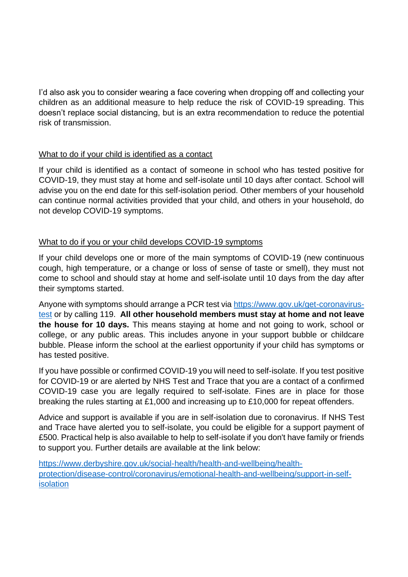I'd also ask you to consider wearing a face covering when dropping off and collecting your children as an additional measure to help reduce the risk of COVID-19 spreading. This doesn't replace social distancing, but is an extra recommendation to reduce the potential risk of transmission.

### What to do if your child is identified as a contact

If your child is identified as a contact of someone in school who has tested positive for COVID-19, they must stay at home and self-isolate until 10 days after contact. School will advise you on the end date for this self-isolation period. Other members of your household can continue normal activities provided that your child, and others in your household, do not develop COVID-19 symptoms.

## What to do if you or your child develops COVID-19 symptoms

If your child develops one or more of the main symptoms of COVID-19 (new continuous cough, high temperature, or a change or loss of sense of taste or smell), they must not come to school and should stay at home and self-isolate until 10 days from the day after their symptoms started.

Anyone with symptoms should arrange a PCR test via [https://www.gov.uk/get-coronavirus](https://www.gov.uk/get-coronavirus-test)[test](https://www.gov.uk/get-coronavirus-test) or by calling 119. **All other household members must stay at home and not leave the house for 10 days.** This means staying at home and not going to work, school or college, or any public areas. This includes anyone in your support bubble or childcare bubble. Please inform the school at the earliest opportunity if your child has symptoms or has tested positive.

If you have possible or confirmed COVID-19 you will need to self-isolate. If you test positive for COVID-19 or are alerted by NHS Test and Trace that you are a contact of a confirmed COVID-19 case you are legally required to self-isolate. Fines are in place for those breaking the rules starting at £1,000 and increasing up to £10,000 for repeat offenders.

Advice and support is available if you are in self-isolation due to coronavirus. If NHS Test and Trace have alerted you to self-isolate, you could be eligible for a support payment of £500. Practical help is also available to help to self-isolate if you don't have family or friends to support you. Further details are available at the link below:

[https://www.derbyshire.gov.uk/social-health/health-and-wellbeing/health](https://www.derbyshire.gov.uk/social-health/health-and-wellbeing/health-protection/disease-control/coronavirus/emotional-health-and-wellbeing/support-in-self-isolation)[protection/disease-control/coronavirus/emotional-health-and-wellbeing/support-in-self](https://www.derbyshire.gov.uk/social-health/health-and-wellbeing/health-protection/disease-control/coronavirus/emotional-health-and-wellbeing/support-in-self-isolation)[isolation](https://www.derbyshire.gov.uk/social-health/health-and-wellbeing/health-protection/disease-control/coronavirus/emotional-health-and-wellbeing/support-in-self-isolation)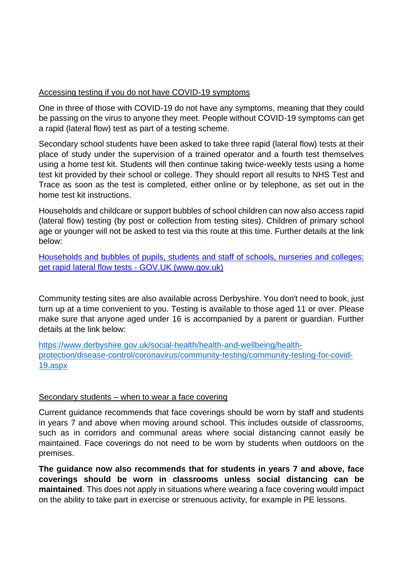### Accessing testing if you do not have COVID-19 symptoms

One in three of those with COVID-19 do not have any symptoms, meaning that they could be passing on the virus to anyone they meet. People without COVID-19 symptoms can get a rapid (lateral flow) test as part of a testing scheme.

Secondary school students have been asked to take three rapid (lateral flow) tests at their place of study under the supervision of a trained operator and a fourth test themselves using a home test kit. Students will then continue taking twice-weekly tests using a home test kit provided by their school or college. They should report all results to NHS Test and Trace as soon as the test is completed, either online or by telephone, as set out in the home test kit instructions.

Households and childcare or support bubbles of school children can now also access rapid (lateral flow) testing (by post or collection from testing sites). Children of primary school age or younger will not be asked to test via this route at this time. Further details at the link below:

[Households and bubbles of pupils, students and staff of schools, nurseries and colleges:](https://www.gov.uk/guidance/rapid-lateral-flow-testing-for-households-and-bubbles-of-school-pupils-and-staff)  [get rapid lateral flow tests -](https://www.gov.uk/guidance/rapid-lateral-flow-testing-for-households-and-bubbles-of-school-pupils-and-staff) GOV.UK (www.gov.uk)

Community testing sites are also available across Derbyshire. You don't need to book, just turn up at a time convenient to you. Testing is available to those aged 11 or over. Please make sure that anyone aged under 16 is accompanied by a parent or guardian. Further details at the link below:

[https://www.derbyshire.gov.uk/social-health/health-and-wellbeing/health](https://www.derbyshire.gov.uk/social-health/health-and-wellbeing/health-protection/disease-control/coronavirus/community-testing/community-testing-for-covid-19.aspx)[protection/disease-control/coronavirus/community-testing/community-testing-for-covid-](https://www.derbyshire.gov.uk/social-health/health-and-wellbeing/health-protection/disease-control/coronavirus/community-testing/community-testing-for-covid-19.aspx)[19.aspx](https://www.derbyshire.gov.uk/social-health/health-and-wellbeing/health-protection/disease-control/coronavirus/community-testing/community-testing-for-covid-19.aspx)

#### Secondary students – when to wear a face covering

Current guidance recommends that face coverings should be worn by staff and students in years 7 and above when moving around school. This includes outside of classrooms, such as in corridors and communal areas where social distancing cannot easily be maintained. Face coverings do not need to be worn by students when outdoors on the premises.

**The guidance now also recommends that for students in years 7 and above, face coverings should be worn in classrooms unless social distancing can be maintained**. This does not apply in situations where wearing a face covering would impact on the ability to take part in exercise or strenuous activity, for example in PE lessons.